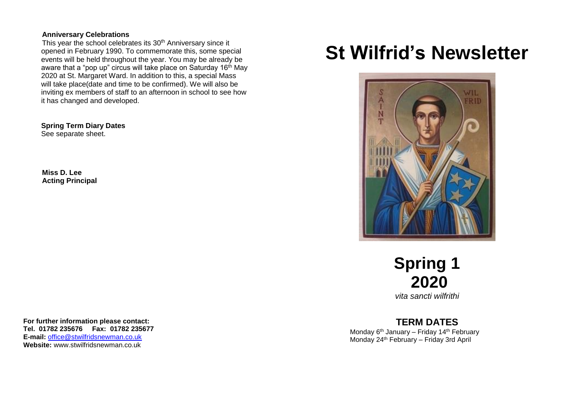#### **Anniversary Celebrations**

This year the school celebrates its 30<sup>th</sup> Anniversary since it opened in February 1990. To commemorate this, some special events will be held throughout the year. You may be already be aware that a "pop up" circus will take place on Saturday 16th May 2020 at St. Margaret Ward. In addition to this, a special Mass will take place(date and time to be confirmed). We will also be inviting ex members of staff to an afternoon in school to see how it has changed and developed.

 **Spring Term Diary Dates** See separate sheet.

**Miss D. Lee Acting Principal**

# **St Wilfrid's Newsletter**



**Spring 1 2020**

*vita sancti wilfrithi*

# **TERM DATES**

Monday 6<sup>th</sup> January – Friday 14<sup>th</sup> February Monday 24th February – Friday 3rd April

**For further information please contact: Tel. 01782 235676 Fax: 01782 235677 E-mail:** [office@stwilfridsnewman.co.uk](mailto:office@stwilfridsnewman.co.uk) **Website:** www.stwilfridsnewman.co.uk